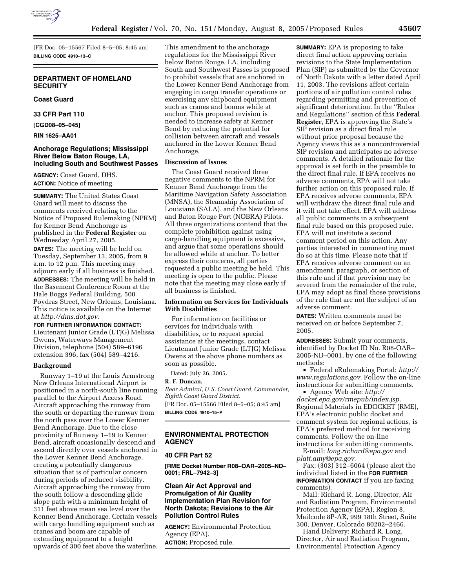

[FR Doc. 05–15567 Filed 8–5–05; 8:45 am] **BILLING CODE 4910–13–C**

# **DEPARTMENT OF HOMELAND SECURITY**

#### **Coast Guard**

**33 CFR Part 110** 

**[CGD08–05–045]** 

**RIN 1625–AA01** 

### **Anchorage Regulations; Mississippi River Below Baton Rouge, LA, Including South and Southwest Passes**

**AGENCY:** Coast Guard, DHS. **ACTION:** Notice of meeting.

**SUMMARY:** The United States Coast Guard will meet to discuss the comments received relating to the Notice of Proposed Rulemaking (NPRM) for Kenner Bend Anchorage as published in the **Federal Register** on Wednesday April 27, 2005.

**DATES:** The meeting will be held on Tuesday, September 13, 2005, from 9 a.m. to 12 p.m. This meeting may adjourn early if all business is finished. **ADDRESSES:** The meeting will be held in the Basement Conference Room at the Hale Boggs Federal Building, 500 Poydras Street, New Orleans, Louisiana. This notice is available on the Internet at *http://dms.dot.gov.*

### **FOR FURTHER INFORMATION CONTACT:** Lieutenant Junior Grade (LTJG) Melissa Owens, Waterways Management Division, telephone (504) 589–6196 extension 396, fax (504) 589–4216.

### **Background**

Runway 1–19 at the Louis Armstrong New Orleans International Airport is positioned in a north-south line running parallel to the Airport Access Road. Aircraft approaching the runway from the south or departing the runway from the north pass over the Lower Kenner Bend Anchorage. Due to the close proximity of Runway 1–19 to Kenner Bend, aircraft occasionally descend and ascend directly over vessels anchored in the Lower Kenner Bend Anchorage, creating a potentially dangerous situation that is of particular concern during periods of reduced visibility. Aircraft approaching the runway from the south follow a descending glide slope path with a minimum height of 311 feet above mean sea level over the Kenner Bend Anchorage. Certain vessels with cargo handling equipment such as cranes and boom are capable of extending equipment to a height upwards of 300 feet above the waterline.

This amendment to the anchorage regulations for the Mississippi River below Baton Rouge, LA, including South and Southwest Passes is proposed to prohibit vessels that are anchored in the Lower Kenner Bend Anchorage from engaging in cargo transfer operations or exercising any shipboard equipment such as cranes and booms while at anchor. This proposed revision is needed to increase safety at Kenner Bend by reducing the potential for collision between aircraft and vessels anchored in the Lower Kenner Bend Anchorage.

## **Discussion of Issues**

The Coast Guard received three negative comments to the NPRM for Kenner Bend Anchorage from the Maritime Navigation Safety Association (MNSA), the Steamship Association of Louisiana (SALA), and the New Orleans and Baton Rouge Port (NOBRA) Pilots. All three organizations contend that the complete prohibition against using cargo-handling equipment is excessive, and argue that some operations should be allowed while at anchor. To better express their concerns, all parties requested a public meeting be held. This meeting is open to the public. Please note that the meeting may close early if all business is finished.

# **Information on Services for Individuals With Disabilities**

For information on facilities or services for individuals with disabilities, or to request special assistance at the meetings, contact Lieutenant Junior Grade (LTJG) Melissa Owens at the above phone numbers as soon as possible.

Dated: July 26, 2005.

#### **R. F. Duncan,**

*Rear Admiral, U.S. Coast Guard, Commander, Eighth Coast Guard District.* [FR Doc. 05–15566 Filed 8–5–05; 8:45 am] **BILLING CODE 4910–15–P**

#### **ENVIRONMENTAL PROTECTION AGENCY**

#### **40 CFR Part 52**

**[RME Docket Number R08–OAR–2005–ND– 0001; FRL–7942–3]** 

# **Clean Air Act Approval and Promulgation of Air Quality Implementation Plan Revision for North Dakota; Revisions to the Air Pollution Control Rules**

**AGENCY:** Environmental Protection Agency (EPA).

**ACTION:** Proposed rule.

**SUMMARY:** EPA is proposing to take direct final action approving certain revisions to the State Implementation Plan (SIP) as submitted by the Governor of North Dakota with a letter dated April 11, 2003. The revisions affect certain portions of air pollution control rules regarding permitting and prevention of significant deterioration. In the ''Rules and Regulations'' section of this **Federal Register**, EPA is approving the State's SIP revision as a direct final rule without prior proposal because the Agency views this as a noncontroversial SIP revision and anticipates no adverse comments. A detailed rationale for the approval is set forth in the preamble to the direct final rule. If EPA receives no adverse comments, EPA will not take further action on this proposed rule. If EPA receives adverse comments, EPA will withdraw the direct final rule and it will not take effect. EPA will address all public comments in a subsequent final rule based on this proposed rule. EPA will not institute a second comment period on this action. Any parties interested in commenting must do so at this time. Please note that if EPA receives adverse comment on an amendment, paragraph, or section of this rule and if that provision may be severed from the remainder of the rule, EPA may adopt as final those provisions of the rule that are not the subject of an adverse comment.

**DATES:** Written comments must be received on or before September 7, 2005.

**ADDRESSES:** Submit your comments, identified by Docket ID No. R08-OAR– 2005-ND–0001, by one of the following methods:

• Federal eRulemaking Portal: *http:// www.regulations.gov.* Follow the on-line instructions for submitting comments.

• Agency Web site: *http:// docket.epa.gov/rmepub/index.jsp.* Regional Materials in EDOCKET (RME), EPA's electronic public docket and comment system for regional actions, is EPA's preferred method for receiving comments. Follow the on-line instructions for submitting comments.

E-mail: *long.richard@epa.gov* and *platt.amy@epa.gov.*

Fax: (303) 312–6064 (please alert the individual listed in the **FOR FURTHER INFORMATION CONTACT** if you are faxing comments).

Mail: Richard R. Long, Director, Air and Radiation Program, Environmental Protection Agency (EPA), Region 8, Mailcode 8P-AR, 999 18th Street, Suite 300, Denver, Colorado 80202–2466.

Hand Delivery: Richard R. Long, Director, Air and Radiation Program, Environmental Protection Agency